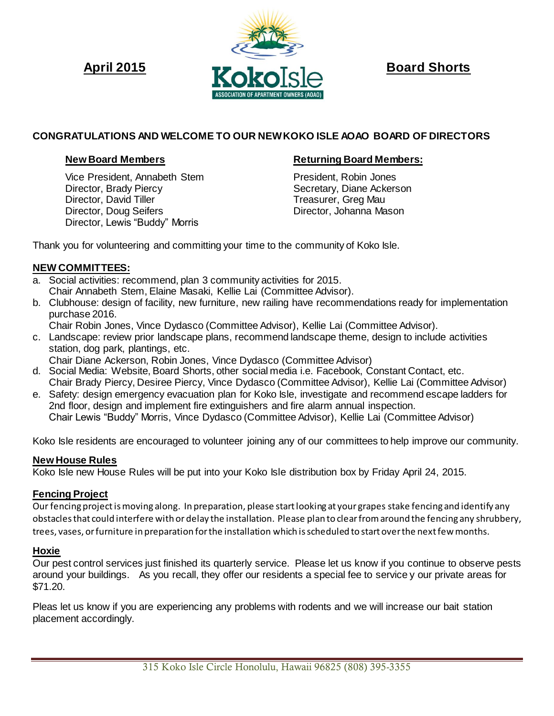

# **CONGRATULATIONS AND WELCOME TO OUR NEW KOKO ISLE AOAO BOARD OF DIRECTORS**

 Vice President, Annabeth Stem President, Robin Jones Director, Brady Piercy<br>
Director, David Tiller<br>
Secretary, Diane Ackerson<br>
Treasurer, Greg Mau Director, Doug Seifers **Director, Johanna Mason** Director, Lewis "Buddy" Morris

## **New Board Members <b>Returning Board Members:**

Treasurer, Greg Mau

Thank you for volunteering and committing your time to the community of Koko Isle.

### **NEW COMMITTEES:**

- a. Social activities: recommend, plan 3 community activities for 2015. Chair Annabeth Stem, Elaine Masaki, Kellie Lai (Committee Advisor).
- b. Clubhouse: design of facility, new furniture, new railing have recommendations ready for implementation purchase 2016.
	- Chair Robin Jones, Vince Dydasco (Committee Advisor), Kellie Lai (Committee Advisor).
- c. Landscape: review prior landscape plans, recommend landscape theme, design to include activities station, dog park, plantings, etc.
	- Chair Diane Ackerson, Robin Jones, Vince Dydasco (Committee Advisor)
- d. Social Media: Website, Board Shorts, other social media i.e. Facebook, Constant Contact, etc. Chair Brady Piercy, Desiree Piercy, Vince Dydasco (Committee Advisor), Kellie Lai (Committee Advisor)
- e. Safety: design emergency evacuation plan for Koko Isle, investigate and recommend escape ladders for 2nd floor, design and implement fire extinguishers and fire alarm annual inspection. Chair Lewis "Buddy" Morris, Vince Dydasco (Committee Advisor), Kellie Lai (Committee Advisor)

Koko Isle residents are encouraged to volunteer joining any of our committees to help improve our community.

### **New House Rules**

Koko Isle new House Rules will be put into your Koko Isle distribution box by Friday April 24, 2015.

## **Fencing Project**

Our fencing project is moving along. In preparation, please start looking at your grapes stake fencing and identify any obstacles that could interfere with or delay the installation. Please plan to clearfrom around the fencing any shrubbery, trees, vases, or furniture in preparation for the installation which is scheduled to start over the next few months.

## **Hoxie**

Our pest control services just finished its quarterly service. Please let us know if you continue to observe pests around your buildings. As you recall, they offer our residents a special fee to service y our private areas for \$71.20.

Pleas let us know if you are experiencing any problems with rodents and we will increase our bait station placement accordingly.